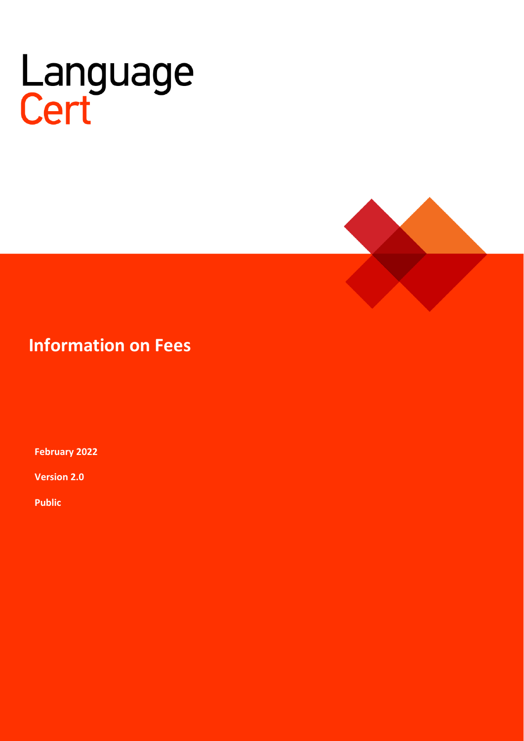# Language<br>Cert



# **Information on Fees**

**February 2022**

**Version 2.0**

**Public**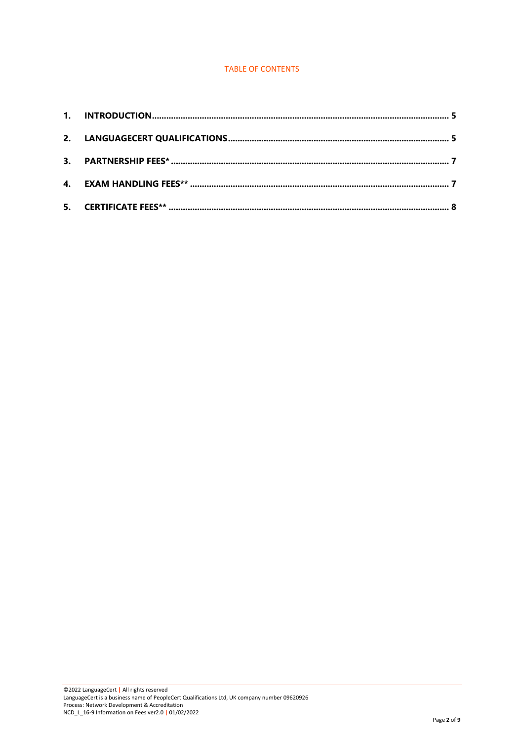#### TABLE OF CONTENTS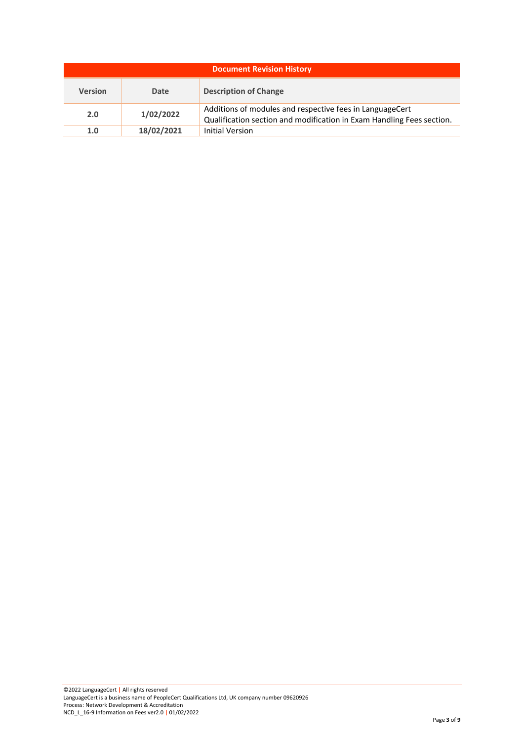| <b>Document Revision History</b> |            |                                                                                                                                   |  |  |  |
|----------------------------------|------------|-----------------------------------------------------------------------------------------------------------------------------------|--|--|--|
| <b>Version</b>                   | Date       | <b>Description of Change</b>                                                                                                      |  |  |  |
| 2.0                              | 1/02/2022  | Additions of modules and respective fees in LanguageCert<br>Qualification section and modification in Exam Handling Fees section. |  |  |  |
| 1.0                              | 18/02/2021 | <b>Initial Version</b>                                                                                                            |  |  |  |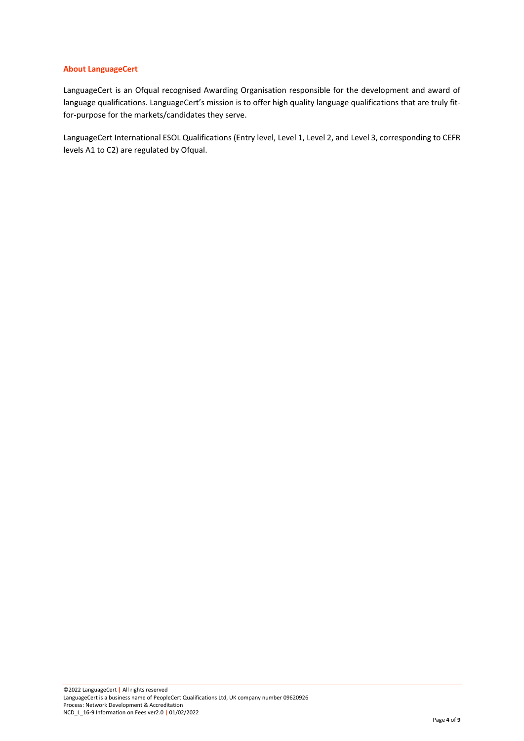#### **About LanguageCert**

LanguageCert is an Ofqual recognised Awarding Organisation responsible for the development and award of language qualifications. LanguageCert's mission is to offer high quality language qualifications that are truly fitfor-purpose for the markets/candidates they serve.

LanguageCert International ESOL Qualifications (Entry level, Level 1, Level 2, and Level 3, corresponding to CEFR levels A1 to C2) are regulated by Ofqual.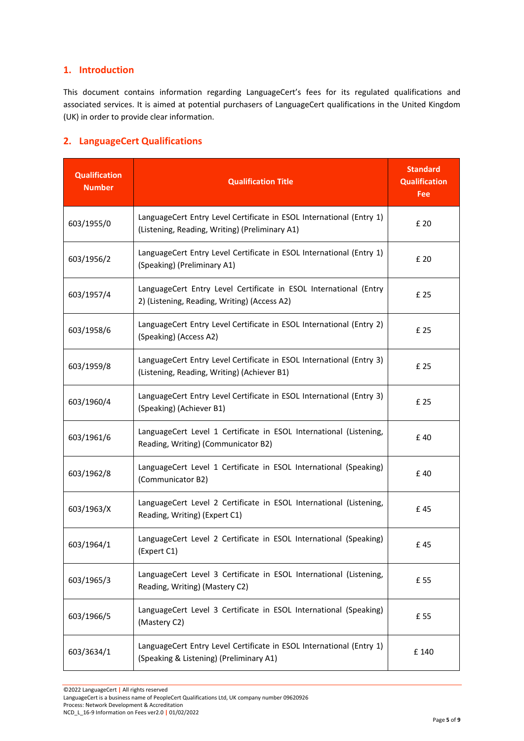#### <span id="page-4-0"></span>**1. Introduction**

This document contains information regarding LanguageCert's fees for its regulated qualifications and associated services. It is aimed at potential purchasers of LanguageCert qualifications in the United Kingdom (UK) in order to provide clear information.

### <span id="page-4-1"></span>**2. LanguageCert Qualifications**

| <b>Qualification</b><br><b>Number</b> | <b>Qualification Title</b>                                                                                             | <b>Standard</b><br><b>Qualification</b><br>Fee |
|---------------------------------------|------------------------------------------------------------------------------------------------------------------------|------------------------------------------------|
| 603/1955/0                            | LanguageCert Entry Level Certificate in ESOL International (Entry 1)<br>(Listening, Reading, Writing) (Preliminary A1) | £ 20                                           |
| 603/1956/2                            | LanguageCert Entry Level Certificate in ESOL International (Entry 1)<br>(Speaking) (Preliminary A1)                    | £ 20                                           |
| 603/1957/4                            | LanguageCert Entry Level Certificate in ESOL International (Entry<br>2) (Listening, Reading, Writing) (Access A2)      | £ 25                                           |
| 603/1958/6                            | LanguageCert Entry Level Certificate in ESOL International (Entry 2)<br>(Speaking) (Access A2)                         | £ 25                                           |
| 603/1959/8                            | LanguageCert Entry Level Certificate in ESOL International (Entry 3)<br>(Listening, Reading, Writing) (Achiever B1)    | £ 25                                           |
| 603/1960/4                            | LanguageCert Entry Level Certificate in ESOL International (Entry 3)<br>(Speaking) (Achiever B1)                       | £ 25                                           |
| 603/1961/6                            | LanguageCert Level 1 Certificate in ESOL International (Listening,<br>Reading, Writing) (Communicator B2)              | £40                                            |
| 603/1962/8                            | LanguageCert Level 1 Certificate in ESOL International (Speaking)<br>(Communicator B2)                                 | £40                                            |
| 603/1963/X                            | LanguageCert Level 2 Certificate in ESOL International (Listening,<br>Reading, Writing) (Expert C1)                    | £45                                            |
| 603/1964/1                            | LanguageCert Level 2 Certificate in ESOL International (Speaking)<br>(Expert C1)                                       | £45                                            |
| 603/1965/3                            | LanguageCert Level 3 Certificate in ESOL International (Listening,<br>Reading, Writing) (Mastery C2)                   | £ 55                                           |
| 603/1966/5                            | LanguageCert Level 3 Certificate in ESOL International (Speaking)<br>(Mastery C2)                                      | £ 55                                           |
| 603/3634/1                            | LanguageCert Entry Level Certificate in ESOL International (Entry 1)<br>(Speaking & Listening) (Preliminary A1)        | £ 140                                          |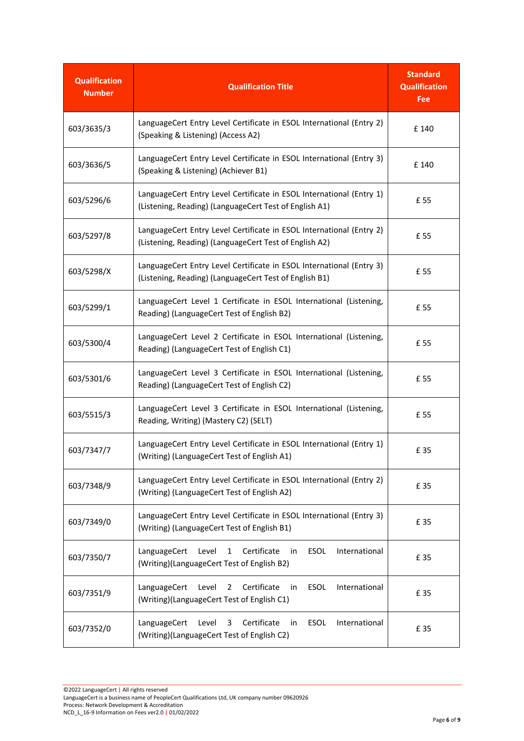| <b>Qualification</b><br><b>Number</b> | <b>Qualification Title</b>                                                                                                                 | <b>Standard</b><br><b>Qualification</b><br>Fee |
|---------------------------------------|--------------------------------------------------------------------------------------------------------------------------------------------|------------------------------------------------|
| 603/3635/3                            | LanguageCert Entry Level Certificate in ESOL International (Entry 2)<br>(Speaking & Listening) (Access A2)                                 | £ 140                                          |
| 603/3636/5                            | LanguageCert Entry Level Certificate in ESOL International (Entry 3)<br>(Speaking & Listening) (Achiever B1)                               | £ 140                                          |
| 603/5296/6                            | LanguageCert Entry Level Certificate in ESOL International (Entry 1)<br>(Listening, Reading) (LanguageCert Test of English A1)             | £ 55                                           |
| 603/5297/8                            | LanguageCert Entry Level Certificate in ESOL International (Entry 2)<br>(Listening, Reading) (LanguageCert Test of English A2)             | £ 55                                           |
| 603/5298/X                            | LanguageCert Entry Level Certificate in ESOL International (Entry 3)<br>(Listening, Reading) (LanguageCert Test of English B1)             | £ 55                                           |
| 603/5299/1                            | LanguageCert Level 1 Certificate in ESOL International (Listening,<br>Reading) (LanguageCert Test of English B2)                           | £ 55                                           |
| 603/5300/4                            | LanguageCert Level 2 Certificate in ESOL International (Listening,<br>Reading) (LanguageCert Test of English C1)                           | £ 55                                           |
| 603/5301/6                            | LanguageCert Level 3 Certificate in ESOL International (Listening,<br>Reading) (LanguageCert Test of English C2)                           | £ 55                                           |
| 603/5515/3                            | LanguageCert Level 3 Certificate in ESOL International (Listening,<br>Reading, Writing) (Mastery C2) (SELT)                                | £ 55                                           |
| 603/7347/7                            | LanguageCert Entry Level Certificate in ESOL International (Entry 1)<br>(Writing) (LanguageCert Test of English A1)                        | £ 35                                           |
| 603/7348/9                            | LanguageCert Entry Level Certificate in ESOL International (Entry 2)<br>(Writing) (LanguageCert Test of English A2)                        | £ 35                                           |
| 603/7349/0                            | LanguageCert Entry Level Certificate in ESOL International (Entry 3)<br>(Writing) (LanguageCert Test of English B1)                        | £ 35                                           |
| 603/7350/7                            | Certificate<br>LanguageCert<br>Level<br>$1 \quad$<br>ESOL<br>International<br>in<br>(Writing)(LanguageCert Test of English B2)             | £ 35                                           |
| 603/7351/9                            | Certificate<br>LanguageCert<br>Level<br>$\overline{2}$<br><b>ESOL</b><br>International<br>in<br>(Writing)(LanguageCert Test of English C1) | £ 35                                           |
| 603/7352/0                            | Certificate<br>LanguageCert<br>Level<br>3<br>ESOL<br>International<br>in<br>(Writing)(LanguageCert Test of English C2)                     | £ 35                                           |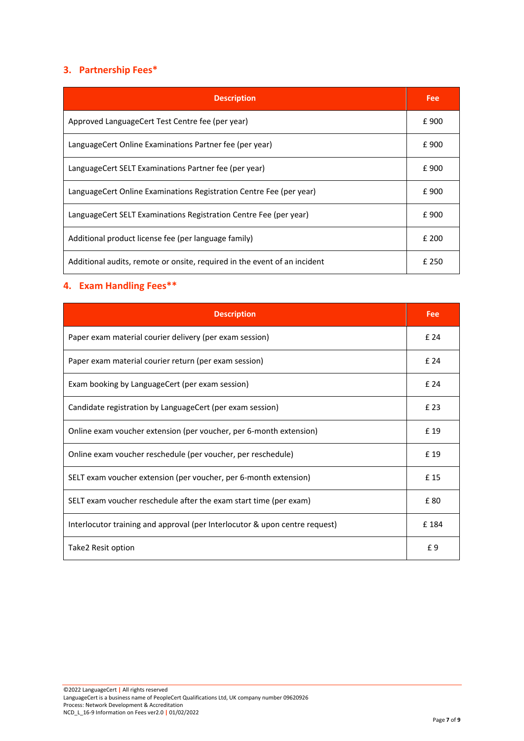# <span id="page-6-0"></span>**3. Partnership Fees\***

| <b>Description</b>                                                        | Fee   |
|---------------------------------------------------------------------------|-------|
| Approved LanguageCert Test Centre fee (per year)                          | £900  |
| LanguageCert Online Examinations Partner fee (per year)                   | £900  |
| LanguageCert SELT Examinations Partner fee (per year)                     | £900  |
| LanguageCert Online Examinations Registration Centre Fee (per year)       | £900  |
| LanguageCert SELT Examinations Registration Centre Fee (per year)         | £900  |
| Additional product license fee (per language family)                      | £ 200 |
| Additional audits, remote or onsite, required in the event of an incident | f 250 |

# <span id="page-6-1"></span>**4. Exam Handling Fees\*\***

| <b>Description</b>                                                          | Fee  |
|-----------------------------------------------------------------------------|------|
| Paper exam material courier delivery (per exam session)                     | £ 24 |
| Paper exam material courier return (per exam session)                       | £ 24 |
| Exam booking by LanguageCert (per exam session)                             | £ 24 |
| Candidate registration by LanguageCert (per exam session)                   | £ 23 |
| Online exam voucher extension (per voucher, per 6-month extension)          | £ 19 |
| Online exam voucher reschedule (per voucher, per reschedule)                | £ 19 |
| SELT exam voucher extension (per voucher, per 6-month extension)            | £15  |
| SELT exam voucher reschedule after the exam start time (per exam)           | £80  |
| Interlocutor training and approval (per Interlocutor & upon centre request) | £184 |
| Take2 Resit option                                                          | £9   |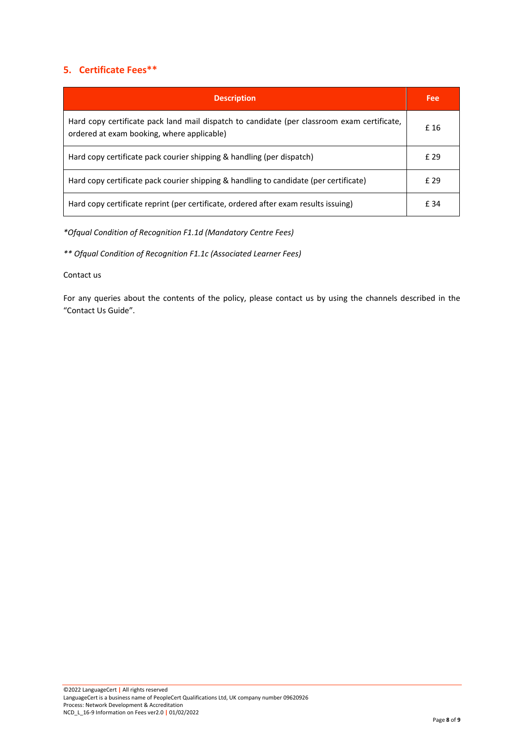## <span id="page-7-0"></span>**5. Certificate Fees\*\***

| <b>Description</b>                                                                                                                        | Fee  |
|-------------------------------------------------------------------------------------------------------------------------------------------|------|
| Hard copy certificate pack land mail dispatch to candidate (per classroom exam certificate,<br>ordered at exam booking, where applicable) | £ 16 |
| Hard copy certificate pack courier shipping & handling (per dispatch)                                                                     | £ 29 |
| Hard copy certificate pack courier shipping & handling to candidate (per certificate)                                                     | f 29 |
| Hard copy certificate reprint (per certificate, ordered after exam results issuing)                                                       | f 34 |

*\*Ofqual Condition of Recognition F1.1d (Mandatory Centre Fees)* 

*\*\* Ofqual Condition of Recognition F1.1c (Associated Learner Fees)*

#### Contact us

For any queries about the contents of the policy, please contact us by using the channels described in the "Contact Us Guide".